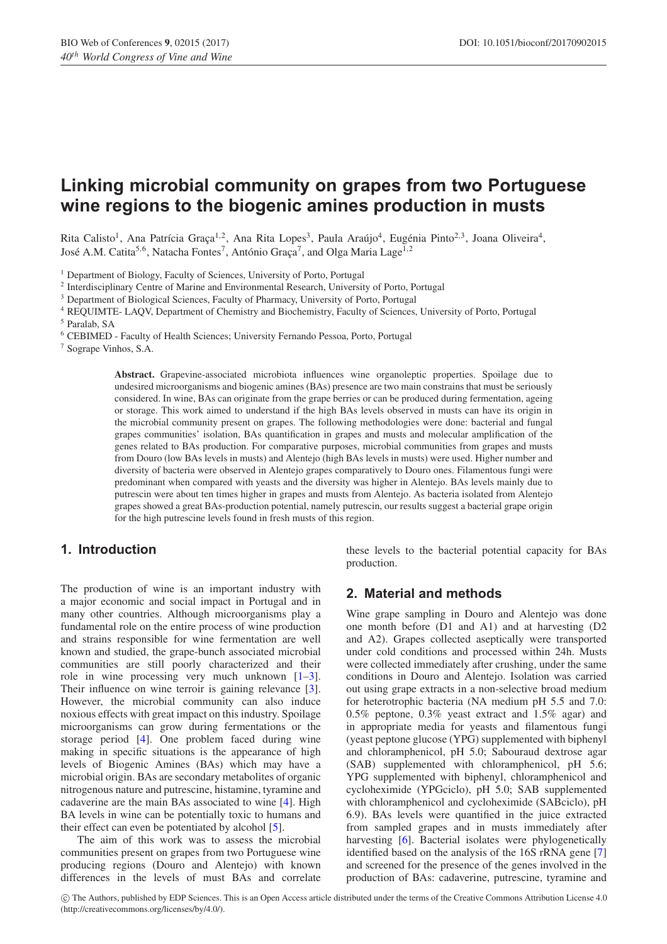# **Linking microbial community on grapes from two Portuguese wine regions to the biogenic amines production in musts**

Rita Calisto<sup>1</sup>, Ana Patrícia Graça<sup>1,2</sup>, Ana Rita Lopes<sup>3</sup>, Paula Araújo<sup>4</sup>, Eugénia Pinto<sup>2,3</sup>, Joana Oliveira<sup>4</sup>, José A.M. Catita<sup>5,6</sup>, Natacha Fontes<sup>7</sup>, António Graça<sup>7</sup>, and Olga Maria Lage<sup>1,2</sup>

<sup>1</sup> Department of Biology, Faculty of Sciences, University of Porto, Portugal

<sup>2</sup> Interdisciplinary Centre of Marine and Environmental Research, University of Porto, Portugal

<sup>3</sup> Department of Biological Sciences, Faculty of Pharmacy, University of Porto, Portugal

<sup>4</sup> REQUIMTE- LAQV, Department of Chemistry and Biochemistry, Faculty of Sciences, University of Porto, Portugal

<sup>5</sup> Paralab, SA

<sup>6</sup> CEBIMED - Faculty of Health Sciences; University Fernando Pessoa, Porto, Portugal

<sup>7</sup> Sogrape Vinhos, S.A.

**Abstract.** Grapevine-associated microbiota influences wine organoleptic properties. Spoilage due to undesired microorganisms and biogenic amines (BAs) presence are two main constrains that must be seriously considered. In wine, BAs can originate from the grape berries or can be produced during fermentation, ageing or storage. This work aimed to understand if the high BAs levels observed in musts can have its origin in the microbial community present on grapes. The following methodologies were done: bacterial and fungal grapes communities' isolation, BAs quantification in grapes and musts and molecular amplification of the genes related to BAs production. For comparative purposes, microbial communities from grapes and musts from Douro (low BAs levels in musts) and Alentejo (high BAs levels in musts) were used. Higher number and diversity of bacteria were observed in Alentejo grapes comparatively to Douro ones. Filamentous fungi were predominant when compared with yeasts and the diversity was higher in Alentejo. BAs levels mainly due to putrescin were about ten times higher in grapes and musts from Alentejo. As bacteria isolated from Alentejo grapes showed a great BAs-production potential, namely putrescin, our results suggest a bacterial grape origin for the high putrescine levels found in fresh musts of this region.

## **1. Introduction**

The production of wine is an important industry with a major economic and social impact in Portugal and in many other countries. Although microorganisms play a fundamental role on the entire process of wine production and strains responsible for wine fermentation are well known and studied, the grape-bunch associated microbial communities are still poorly characterized and their role in wine processing very much unknown [\[1](#page-2-0)[–3](#page-2-1)]. Their influence on wine terroir is gaining relevance [\[3\]](#page-2-1). However, the microbial community can also induce noxious effects with great impact on this industry. Spoilage microorganisms can grow during fermentations or the storage period [\[4](#page-2-2)]. One problem faced during wine making in specific situations is the appearance of high levels of Biogenic Amines (BAs) which may have a microbial origin. BAs are secondary metabolites of organic nitrogenous nature and putrescine, histamine, tyramine and cadaverine are the main BAs associated to wine [\[4\]](#page-2-2). High BA levels in wine can be potentially toxic to humans and their effect can even be potentiated by alcohol [\[5](#page-2-3)].

The aim of this work was to assess the microbial communities present on grapes from two Portuguese wine producing regions (Douro and Alentejo) with known differences in the levels of must BAs and correlate these levels to the bacterial potential capacity for BAs production.

#### **2. Material and methods**

Wine grape sampling in Douro and Alentejo was done one month before (D1 and A1) and at harvesting (D2 and A2). Grapes collected aseptically were transported under cold conditions and processed within 24h. Musts were collected immediately after crushing, under the same conditions in Douro and Alentejo. Isolation was carried out using grape extracts in a non-selective broad medium for heterotrophic bacteria (NA medium pH 5.5 and 7.0: 0.5% peptone, 0.3% yeast extract and 1.5% agar) and in appropriate media for yeasts and filamentous fungi (yeast peptone glucose (YPG) supplemented with biphenyl and chloramphenicol, pH 5.0; Sabouraud dextrose agar (SAB) supplemented with chloramphenicol, pH 5.6; YPG supplemented with biphenyl, chloramphenicol and cycloheximide (YPGciclo), pH 5.0; SAB supplemented with chloramphenicol and cycloheximide (SABciclo), pH 6.9). BAs levels were quantified in the juice extracted from sampled grapes and in musts immediately after harvesting [\[6\]](#page-2-4). Bacterial isolates were phylogenetically identified based on the analysis of the 16S rRNA gene [\[7\]](#page-2-5) and screened for the presence of the genes involved in the production of BAs: cadaverine, putrescine, tyramine and

c The Authors, published by EDP Sciences. This is an Open Access article distributed under the terms of the Creative Commons Attribution License 4.0 (http://creativecommons.org/licenses/by/4.0/).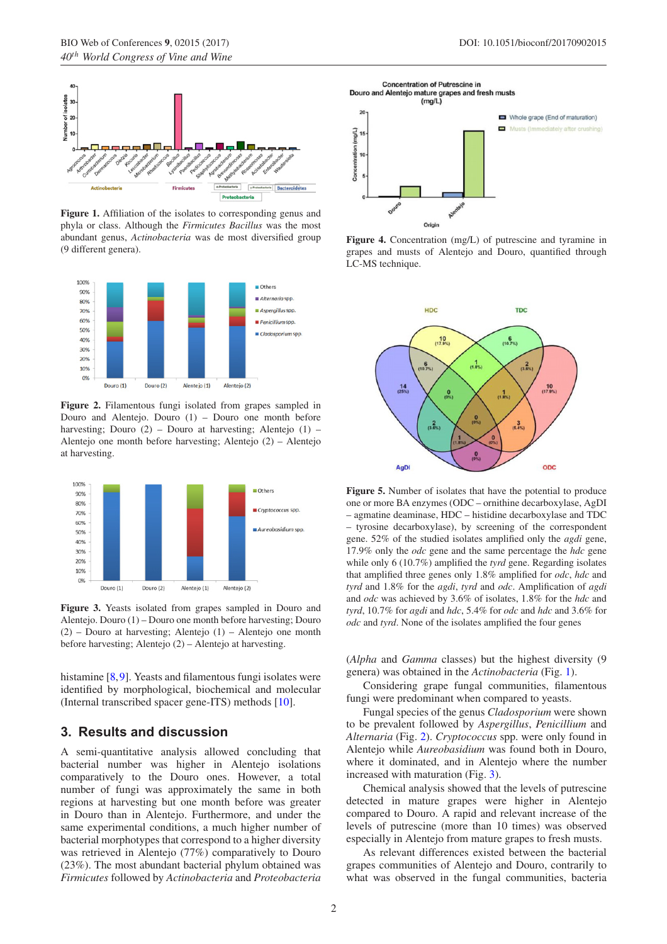<span id="page-1-0"></span>

**Figure 1.** Affiliation of the isolates to corresponding genus and phyla or class. Although the *Firmicutes Bacillus* was the most abundant genus, *Actinobacteria* was de most diversified group (9 different genera).

<span id="page-1-1"></span>

**Figure 2.** Filamentous fungi isolated from grapes sampled in Douro and Alentejo. Douro (1) – Douro one month before harvesting; Douro (2) – Douro at harvesting; Alentejo (1) – Alentejo one month before harvesting; Alentejo (2) – Alentejo at harvesting.

<span id="page-1-2"></span>

**Figure 3.** Yeasts isolated from grapes sampled in Douro and Alentejo. Douro (1) – Douro one month before harvesting; Douro (2) – Douro at harvesting; Alentejo (1) – Alentejo one month before harvesting; Alentejo (2) – Alentejo at harvesting.

histamine [\[8](#page-2-6),[9\]](#page-2-7). Yeasts and filamentous fungi isolates were identified by morphological, biochemical and molecular (Internal transcribed spacer gene-ITS) methods [\[10\]](#page-2-8).

### **3. Results and discussion**

A semi-quantitative analysis allowed concluding that bacterial number was higher in Alentejo isolations comparatively to the Douro ones. However, a total number of fungi was approximately the same in both regions at harvesting but one month before was greater in Douro than in Alentejo. Furthermore, and under the same experimental conditions, a much higher number of bacterial morphotypes that correspond to a higher diversity was retrieved in Alentejo (77%) comparatively to Douro (23%). The most abundant bacterial phylum obtained was *Firmicutes* followed by *Actinobacteria* and *Proteobacteria*



<span id="page-1-3"></span>**Figure 4.** Concentration (mg/L) of putrescine and tyramine in grapes and musts of Alentejo and Douro, quantified through LC-MS technique.



**Figure 5.** Number of isolates that have the potential to produce one or more BA enzymes (ODC – ornithine decarboxylase, AgDI – agmatine deaminase, HDC – histidine decarboxylase and TDC – tyrosine decarboxylase), by screening of the correspondent gene. 52% of the studied isolates amplified only the *agdi* gene, 17.9% only the *odc* gene and the same percentage the *hdc* gene while only 6 (10.7%) amplified the *tyrd* gene. Regarding isolates that amplified three genes only 1.8% amplified for *odc*, *hdc* and *tyrd* and 1.8% for the *agdi*, *tyrd* and *odc*. Amplification of *agdi* and *odc* was achieved by 3.6% of isolates, 1.8% for the *hdc* and *tyrd*, 10.7% for *agdi* and *hdc*, 5.4% for *odc* and *hdc* and 3.6% for *odc* and *tyrd*. None of the isolates amplified the four genes

(*Alpha* and *Gamma* classes) but the highest diversity (9 genera) was obtained in the *Actinobacteria* (Fig. [1\)](#page-1-0).

Considering grape fungal communities, filamentous fungi were predominant when compared to yeasts.

Fungal species of the genus *Cladosporium* were shown to be prevalent followed by *Aspergillus*, *Penicillium* and *Alternaria* (Fig. [2\)](#page-1-1). *Cryptococcus* spp. were only found in Alentejo while *Aureobasidium* was found both in Douro, where it dominated, and in Alentejo where the number increased with maturation (Fig. [3\)](#page-1-2).

Chemical analysis showed that the levels of putrescine detected in mature grapes were higher in Alentejo compared to Douro. A rapid and relevant increase of the levels of putrescine (more than 10 times) was observed especially in Alentejo from mature grapes to fresh musts.

As relevant differences existed between the bacterial grapes communities of Alentejo and Douro, contrarily to what was observed in the fungal communities, bacteria